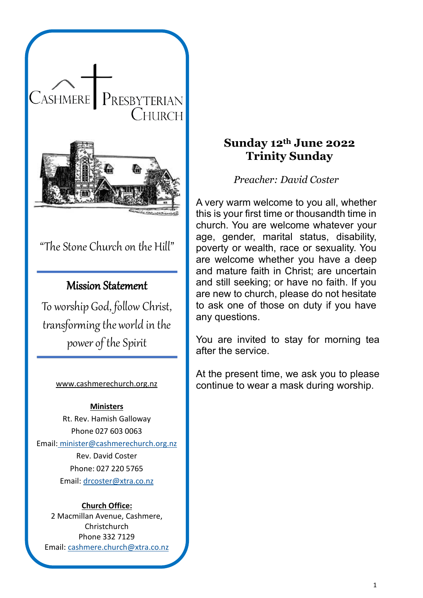

"The Stone Church on the Hill"

# Mission Statement

To worship God, follow Christ, transforming the world in the power of the Spirit

#### [www.cashmerechurch.org.nz](http://www.cashmerechurch.org.nz/)

#### **Ministers**

Rt. Rev. Hamish Galloway Phone 027 603 0063 Email: [minister@cashmerechurch.org.nz](mailto:minister@cashmerechurch.org.nz) Rev. David Coster Phone: 027 220 5765 Email: [drcoster@xtra.co.nz](mailto:drcoster@xtra.co.nz)

#### **Church Office:**

2 Macmillan Avenue, Cashmere, **Christchurch** Phone 332 7129 Email: [cashmere.church@xtra.co.nz](mailto:cashmere.church@xtra.co.nz)

# **Sunday 12th June 2022 Trinity Sunday**

*Preacher: David Coster*

A very warm welcome to you all, whether this is your first time or thousandth time in church. You are welcome whatever your age, gender, marital status, disability, poverty or wealth, race or sexuality. You are welcome whether you have a deep and mature faith in Christ; are uncertain and still seeking; or have no faith. If you are new to church, please do not hesitate to ask one of those on duty if you have any questions.

You are invited to stay for morning tea after the service.

At the present time, we ask you to please continue to wear a mask during worship.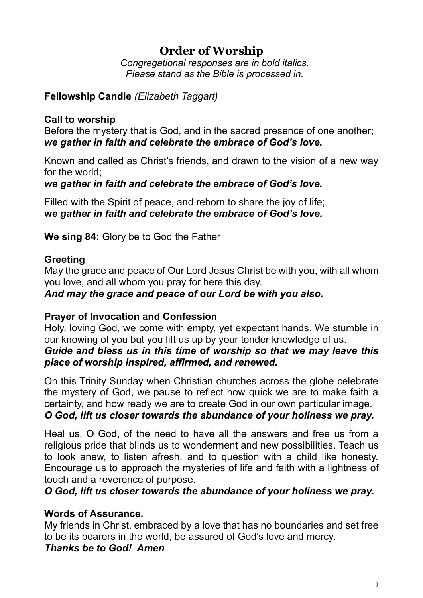# **Order of Worship**

*Congregational responses are in bold italics. Please stand as the Bible is processed in.*

# **Fellowship Candle** *(Elizabeth Taggart)*

# **Call to worship**

Before the mystery that is God, and in the sacred presence of one another; *we gather in faith and celebrate the embrace of God's love.*

Known and called as Christ's friends, and drawn to the vision of a new way for the world;

*we gather in faith and celebrate the embrace of God's love.*

Filled with the Spirit of peace, and reborn to share the joy of life; **w***e gather in faith and celebrate the embrace of God's love.*

**We sing 84:** Glory be to God the Father

# **Greeting**

May the grace and peace of Our Lord Jesus Christ be with you, with all whom you love, and all whom you pray for here this day.

# *And may the grace and peace of our Lord be with you also.*

# **Prayer of Invocation and Confession**

Holy, loving God, we come with empty, yet expectant hands. We stumble in our knowing of you but you lift us up by your tender knowledge of us.

*Guide and bless us in this time of worship so that we may leave this place of worship inspired, affirmed, and renewed.*

On this Trinity Sunday when Christian churches across the globe celebrate the mystery of God, we pause to reflect how quick we are to make faith a certainty, and how ready we are to create God in our own particular image. *O God, lift us closer towards the abundance of your holiness we pray.* 

Heal us, O God, of the need to have all the answers and free us from a religious pride that blinds us to wonderment and new possibilities. Teach us to look anew, to listen afresh, and to question with a child like honesty. Encourage us to approach the mysteries of life and faith with a lightness of touch and a reverence of purpose.

*O God, lift us closer towards the abundance of your holiness we pray.* 

# **Words of Assurance.**

My friends in Christ, embraced by a love that has no boundaries and set free to be its bearers in the world, be assured of God's love and mercy. *Thanks be to God! Amen*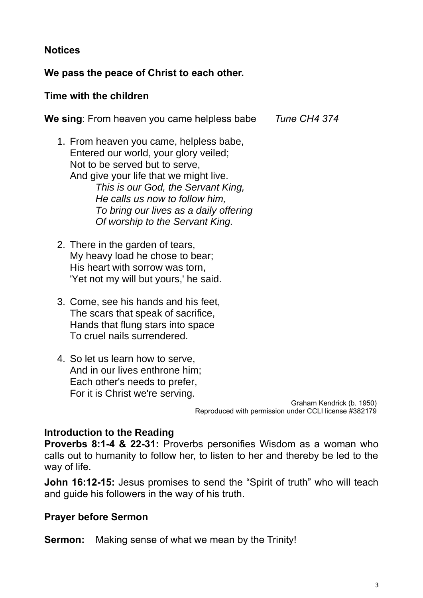# **Notices**

# **We pass the peace of Christ to each other.**

# **Time with the children**

**We sing**: From heaven you came helpless babe *Tune CH4 374*

- 1. From heaven you came, helpless babe, Entered our world, your glory veiled; Not to be served but to serve, And give your life that we might live. *This is our God, the Servant King, He calls us now to follow him, To bring our lives as a daily offering Of worship to the Servant King.*
- 2. There in the garden of tears, My heavy load he chose to bear; His heart with sorrow was torn, 'Yet not my will but yours,' he said.
- 3. Come, see his hands and his feet, The scars that speak of sacrifice, Hands that flung stars into space To cruel nails surrendered.
- 4. So let us learn how to serve, And in our lives enthrone him; Each other's needs to prefer, For it is Christ we're serving.

Graham Kendrick (b. 1950) Reproduced with permission under CCLI license #382179

# **Introduction to the Reading**

**Proverbs 8:1-4 & 22-31:** Proverbs personifies Wisdom as a woman who calls out to humanity to follow her, to listen to her and thereby be led to the way of life.

**John 16:12-15:** Jesus promises to send the "Spirit of truth" who will teach and guide his followers in the way of his truth.

# **Prayer before Sermon**

**Sermon:** Making sense of what we mean by the Trinity!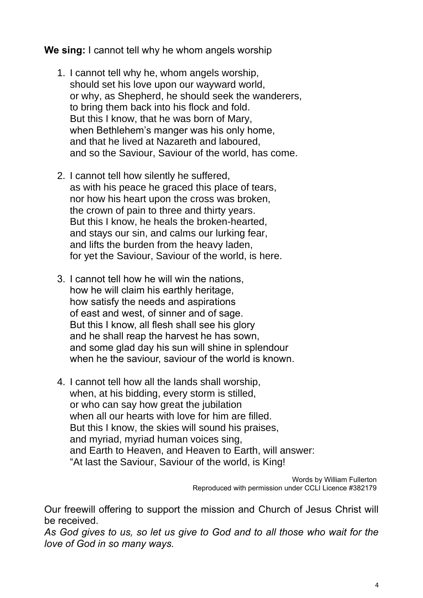## **We sing:** I cannot tell why he whom angels worship

- 1. I cannot tell why he, whom angels worship, should set his love upon our wayward world, or why, as Shepherd, he should seek the wanderers, to bring them back into his flock and fold. But this I know, that he was born of Mary, when Bethlehem's manger was his only home, and that he lived at Nazareth and laboured, and so the Saviour, Saviour of the world, has come.
- 2. I cannot tell how silently he suffered, as with his peace he graced this place of tears, nor how his heart upon the cross was broken, the crown of pain to three and thirty years. But this I know, he heals the broken-hearted, and stays our sin, and calms our lurking fear, and lifts the burden from the heavy laden, for yet the Saviour, Saviour of the world, is here.
- 3. I cannot tell how he will win the nations, how he will claim his earthly heritage, how satisfy the needs and aspirations of east and west, of sinner and of sage. But this I know, all flesh shall see his glory and he shall reap the harvest he has sown, and some glad day his sun will shine in splendour when he the saviour, saviour of the world is known.
- 4. I cannot tell how all the lands shall worship, when, at his bidding, every storm is stilled, or who can say how great the jubilation when all our hearts with love for him are filled. But this I know, the skies will sound his praises, and myriad, myriad human voices sing, and Earth to Heaven, and Heaven to Earth, will answer: "At last the Saviour, Saviour of the world, is King!

Words by William Fullerton Reproduced with permission under CCLI Licence #382179

Our freewill offering to support the mission and Church of Jesus Christ will be received.

*As God gives to us, so let us give to God and to all those who wait for the love of God in so many ways.*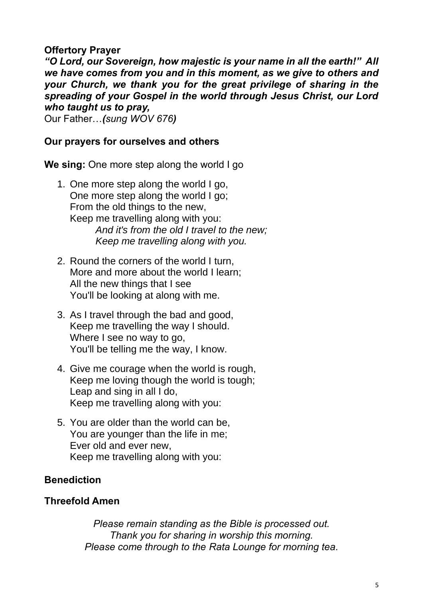# **Offertory Prayer**

*"O Lord, our Sovereign, how majestic is your name in all the earth!" All we have comes from you and in this moment, as we give to others and your Church, we thank you for the great privilege of sharing in the spreading of your Gospel in the world through Jesus Christ, our Lord who taught us to pray,*

Our Father…*(sung WOV 676)*

#### **Our prayers for ourselves and others**

**We sing:** One more step along the world I go

- 1. One more step along the world I go, One more step along the world I go; From the old things to the new, Keep me travelling along with you: *And it's from the old I travel to the new; Keep me travelling along with you.*
- 2. Round the corners of the world I turn, More and more about the world I learn; All the new things that I see You'll be looking at along with me.
- 3. As I travel through the bad and good, Keep me travelling the way I should. Where I see no way to go, You'll be telling me the way, I know.
- 4. Give me courage when the world is rough, Keep me loving though the world is tough; Leap and sing in all I do, Keep me travelling along with you:
- 5. You are older than the world can be, You are younger than the life in me; Ever old and ever new, Keep me travelling along with you:

# **Benediction**

# **Threefold Amen**

*Please remain standing as the Bible is processed out. Thank you for sharing in worship this morning. Please come through to the Rata Lounge for morning tea.*